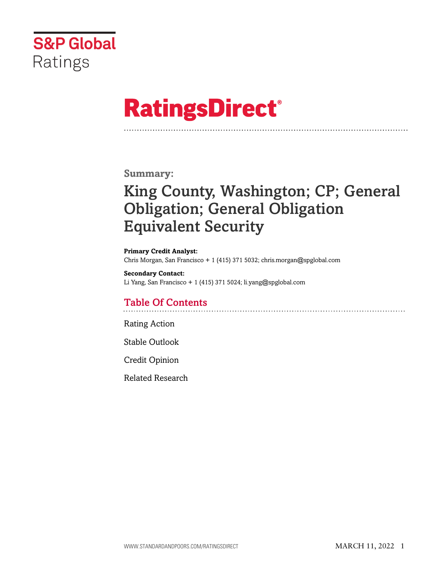

# **RatingsDirect®**

# **Summary:**

# King County, Washington; CP; General Obligation; General Obligation Equivalent Security

**Primary Credit Analyst:** Chris Morgan, San Francisco + 1 (415) 371 5032; chris.morgan@spglobal.com

**Secondary Contact:** Li Yang, San Francisco + 1 (415) 371 5024; li.yang@spglobal.com

# Table Of Contents

[Rating Action](#page-1-0)

[Stable Outlook](#page-2-0)

[Credit Opinion](#page-2-1)

[Related Research](#page-5-0)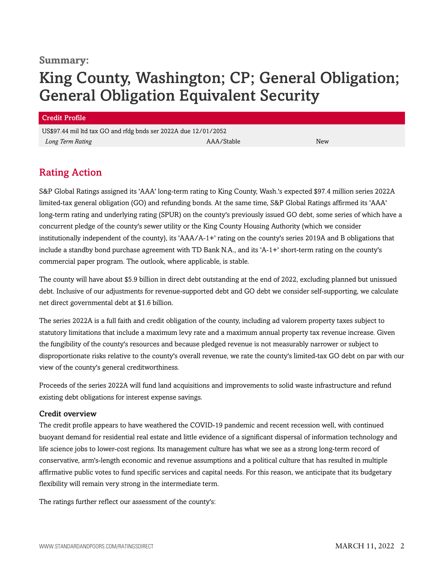### **Summary:**

# King County, Washington; CP; General Obligation; General Obligation Equivalent Security

#### Credit Profile

US\$97.44 mil ltd tax GO and rfdg bnds ser 2022A due 12/01/2052 *Long Term Rating* New New AAA/Stable New ARA/Stable

# <span id="page-1-0"></span>Rating Action

S&P Global Ratings assigned its 'AAA' long-term rating to King County, Wash.'s expected \$97.4 million series 2022A limited-tax general obligation (GO) and refunding bonds. At the same time, S&P Global Ratings affirmed its 'AAA' long-term rating and underlying rating (SPUR) on the county's previously issued GO debt, some series of which have a concurrent pledge of the county's sewer utility or the King County Housing Authority (which we consider institutionally independent of the county), its 'AAA/A-1+' rating on the county's series 2019A and B obligations that include a standby bond purchase agreement with TD Bank N.A., and its 'A-1+' short-term rating on the county's commercial paper program. The outlook, where applicable, is stable.

The county will have about \$5.9 billion in direct debt outstanding at the end of 2022, excluding planned but unissued debt. Inclusive of our adjustments for revenue-supported debt and GO debt we consider self-supporting, we calculate net direct governmental debt at \$1.6 billion.

The series 2022A is a full faith and credit obligation of the county, including ad valorem property taxes subject to statutory limitations that include a maximum levy rate and a maximum annual property tax revenue increase. Given the fungibility of the county's resources and because pledged revenue is not measurably narrower or subject to disproportionate risks relative to the county's overall revenue, we rate the county's limited-tax GO debt on par with our view of the county's general creditworthiness.

Proceeds of the series 2022A will fund land acquisitions and improvements to solid waste infrastructure and refund existing debt obligations for interest expense savings.

#### Credit overview

The credit profile appears to have weathered the COVID-19 pandemic and recent recession well, with continued buoyant demand for residential real estate and little evidence of a significant dispersal of information technology and life science jobs to lower-cost regions. Its management culture has what we see as a strong long-term record of conservative, arm's-length economic and revenue assumptions and a political culture that has resulted in multiple affirmative public votes to fund specific services and capital needs. For this reason, we anticipate that its budgetary flexibility will remain very strong in the intermediate term.

The ratings further reflect our assessment of the county's: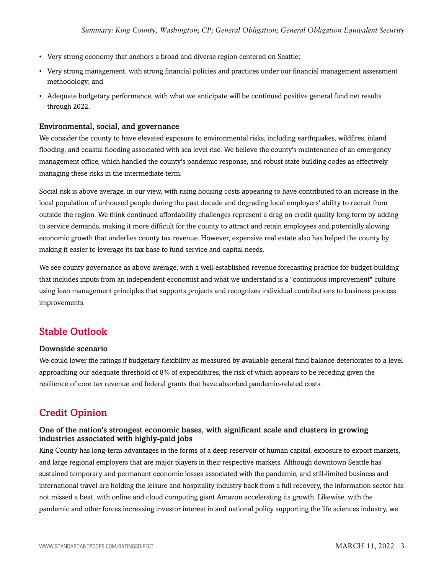- Very strong economy that anchors a broad and diverse region centered on Seattle;
- Very strong management, with strong financial policies and practices under our financial management assessment methodology; and
- Adequate budgetary performance, with what we anticipate will be continued positive general fund net results through 2022.

#### Environmental, social, and governance

We consider the county to have elevated exposure to environmental risks, including earthquakes, wildfires, inland flooding, and coastal flooding associated with sea level rise. We believe the county's maintenance of an emergency management office, which handled the county's pandemic response, and robust state building codes as effectively managing these risks in the intermediate term.

Social risk is above average, in our view, with rising housing costs appearing to have contributed to an increase in the local population of unhoused people during the past decade and degrading local employers' ability to recruit from outside the region. We think continued affordability challenges represent a drag on credit quality long term by adding to service demands, making it more difficult for the county to attract and retain employees and potentially slowing economic growth that underlies county tax revenue. However, expensive real estate also has helped the county by making it easier to leverage its tax base to fund service and capital needs.

We see county governance as above average, with a well-established revenue forecasting practice for budget-building that includes inputs from an independent economist and what we understand is a "continuous improvement" culture using lean management principles that supports projects and recognizes individual contributions to business process improvements.

# <span id="page-2-0"></span>Stable Outlook

#### Downside scenario

We could lower the ratings if budgetary flexibility as measured by available general fund balance deteriorates to a level approaching our adequate threshold of 8% of expenditures, the risk of which appears to be receding given the resilience of core tax revenue and federal grants that have absorbed pandemic-related costs.

# <span id="page-2-1"></span>Credit Opinion

#### One of the nation's strongest economic bases, with significant scale and clusters in growing industries associated with highly-paid jobs

King County has long-term advantages in the forms of a deep reservoir of human capital, exposure to export markets, and large regional employers that are major players in their respective markets. Although downtown Seattle has sustained temporary and permanent economic losses associated with the pandemic, and still-limited business and international travel are holding the leisure and hospitality industry back from a full recovery, the information sector has not missed a beat, with online and cloud computing giant Amazon accelerating its growth. Likewise, with the pandemic and other forces increasing investor interest in and national policy supporting the life sciences industry, we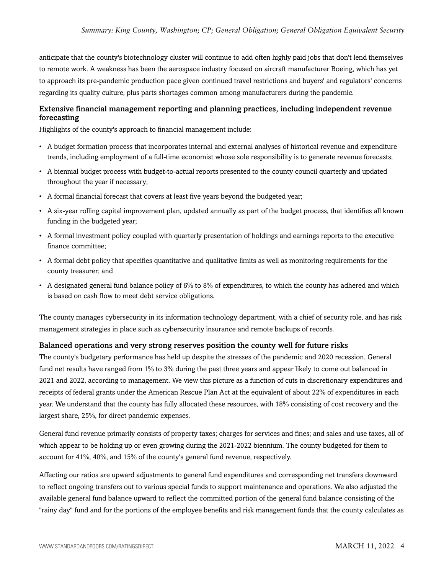anticipate that the county's biotechnology cluster will continue to add often highly paid jobs that don't lend themselves to remote work. A weakness has been the aerospace industry focused on aircraft manufacturer Boeing, which has yet to approach its pre-pandemic production pace given continued travel restrictions and buyers' and regulators' concerns regarding its quality culture, plus parts shortages common among manufacturers during the pandemic.

#### Extensive financial management reporting and planning practices, including independent revenue forecasting

Highlights of the county's approach to financial management include:

- A budget formation process that incorporates internal and external analyses of historical revenue and expenditure trends, including employment of a full-time economist whose sole responsibility is to generate revenue forecasts;
- A biennial budget process with budget-to-actual reports presented to the county council quarterly and updated throughout the year if necessary;
- A formal financial forecast that covers at least five years beyond the budgeted year;
- A six-year rolling capital improvement plan, updated annually as part of the budget process, that identifies all known funding in the budgeted year;
- A formal investment policy coupled with quarterly presentation of holdings and earnings reports to the executive finance committee;
- A formal debt policy that specifies quantitative and qualitative limits as well as monitoring requirements for the county treasurer; and
- A designated general fund balance policy of  $6\%$  to  $8\%$  of expenditures, to which the county has adhered and which is based on cash flow to meet debt service obligations.

The county manages cybersecurity in its information technology department, with a chief of security role, and has risk management strategies in place such as cybersecurity insurance and remote backups of records.

#### Balanced operations and very strong reserves position the county well for future risks

The county's budgetary performance has held up despite the stresses of the pandemic and 2020 recession. General fund net results have ranged from 1% to 3% during the past three years and appear likely to come out balanced in 2021 and 2022, according to management. We view this picture as a function of cuts in discretionary expenditures and receipts of federal grants under the American Rescue Plan Act at the equivalent of about 22% of expenditures in each year. We understand that the county has fully allocated these resources, with 18% consisting of cost recovery and the largest share, 25%, for direct pandemic expenses.

General fund revenue primarily consists of property taxes; charges for services and fines; and sales and use taxes, all of which appear to be holding up or even growing during the 2021-2022 biennium. The county budgeted for them to account for 41%, 40%, and 15% of the county's general fund revenue, respectively.

Affecting our ratios are upward adjustments to general fund expenditures and corresponding net transfers downward to reflect ongoing transfers out to various special funds to support maintenance and operations. We also adjusted the available general fund balance upward to reflect the committed portion of the general fund balance consisting of the "rainy day" fund and for the portions of the employee benefits and risk management funds that the county calculates as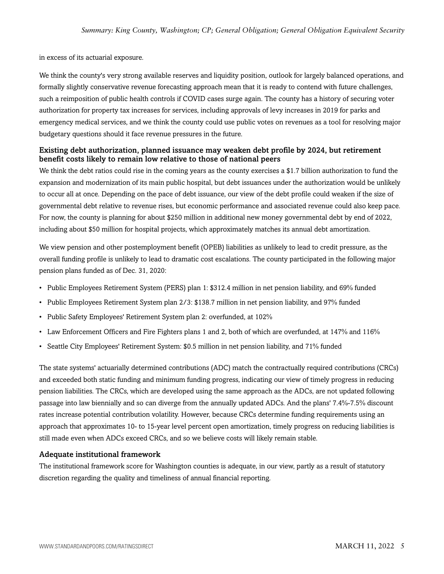in excess of its actuarial exposure.

We think the county's very strong available reserves and liquidity position, outlook for largely balanced operations, and formally slightly conservative revenue forecasting approach mean that it is ready to contend with future challenges, such a reimposition of public health controls if COVID cases surge again. The county has a history of securing voter authorization for property tax increases for services, including approvals of levy increases in 2019 for parks and emergency medical services, and we think the county could use public votes on revenues as a tool for resolving major budgetary questions should it face revenue pressures in the future.

#### Existing debt authorization, planned issuance may weaken debt profile by 2024, but retirement benefit costs likely to remain low relative to those of national peers

We think the debt ratios could rise in the coming years as the county exercises a \$1.7 billion authorization to fund the expansion and modernization of its main public hospital, but debt issuances under the authorization would be unlikely to occur all at once. Depending on the pace of debt issuance, our view of the debt profile could weaken if the size of governmental debt relative to revenue rises, but economic performance and associated revenue could also keep pace. For now, the county is planning for about \$250 million in additional new money governmental debt by end of 2022, including about \$50 million for hospital projects, which approximately matches its annual debt amortization.

We view pension and other postemployment benefit (OPEB) liabilities as unlikely to lead to credit pressure, as the overall funding profile is unlikely to lead to dramatic cost escalations. The county participated in the following major pension plans funded as of Dec. 31, 2020:

- Public Employees Retirement System (PERS) plan 1: \$312.4 million in net pension liability, and 69% funded
- Public Employees Retirement System plan 2/3: \$138.7 million in net pension liability, and 97% funded
- Public Safety Employees' Retirement System plan 2: overfunded, at 102%
- Law Enforcement Officers and Fire Fighters plans 1 and 2, both of which are overfunded, at 147% and 116%
- Seattle City Employees' Retirement System: \$0.5 million in net pension liability, and 71% funded

The state systems' actuarially determined contributions (ADC) match the contractually required contributions (CRCs) and exceeded both static funding and minimum funding progress, indicating our view of timely progress in reducing pension liabilities. The CRCs, which are developed using the same approach as the ADCs, are not updated following passage into law biennially and so can diverge from the annually updated ADCs. And the plans' 7.4%-7.5% discount rates increase potential contribution volatility. However, because CRCs determine funding requirements using an approach that approximates 10- to 15-year level percent open amortization, timely progress on reducing liabilities is still made even when ADCs exceed CRCs, and so we believe costs will likely remain stable.

#### Adequate institutional framework

The institutional framework score for Washington counties is adequate, in our view, partly as a result of statutory discretion regarding the quality and timeliness of annual financial reporting.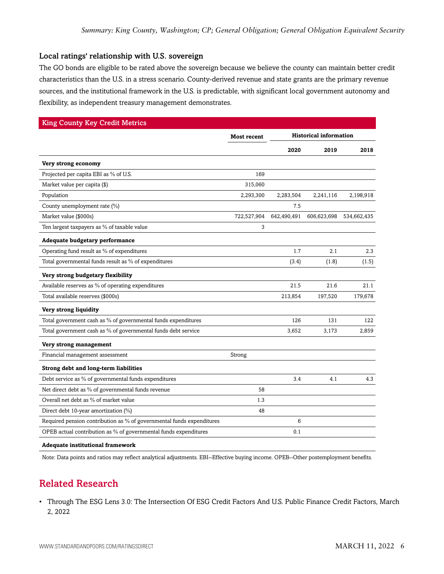#### Local ratings' relationship with U.S. sovereign

The GO bonds are eligible to be rated above the sovereign because we believe the county can maintain better credit characteristics than the U.S. in a stress scenario. County-derived revenue and state grants are the primary revenue sources, and the institutional framework in the U.S. is predictable, with significant local government autonomy and flexibility, as independent treasury management demonstrates.

| <b>King County Key Credit Metrics</b>                                 |                    |                               |             |             |
|-----------------------------------------------------------------------|--------------------|-------------------------------|-------------|-------------|
|                                                                       | <b>Most recent</b> | <b>Historical information</b> |             |             |
|                                                                       |                    | 2020                          | 2019        | 2018        |
| Very strong economy                                                   |                    |                               |             |             |
| Projected per capita EBI as % of U.S.                                 | 169                |                               |             |             |
| Market value per capita (\$)                                          | 315,060            |                               |             |             |
| Population                                                            | 2,293,300          | 2,283,504                     | 2,241,116   | 2,198,918   |
| County unemployment rate (%)                                          |                    | 7.5                           |             |             |
| Market value (\$000s)                                                 | 722,527,904        | 642,490,491                   | 606,623,698 | 534,662,435 |
| Ten largest taxpayers as % of taxable value                           | 3                  |                               |             |             |
| Adequate budgetary performance                                        |                    |                               |             |             |
| Operating fund result as % of expenditures                            |                    | 1.7                           | 2.1         | 2.3         |
| Total governmental funds result as % of expenditures                  |                    | (3.4)                         | (1.8)       | (1.5)       |
| Very strong budgetary flexibility                                     |                    |                               |             |             |
| Available reserves as % of operating expenditures                     |                    | 21.5                          | 21.6        | 21.1        |
| Total available reserves (\$000s)                                     |                    | 213,854                       | 197,520     | 179,678     |
| Very strong liquidity                                                 |                    |                               |             |             |
| Total government cash as % of governmental funds expenditures         |                    | 126                           | 131         | 122         |
| Total government cash as % of governmental funds debt service         |                    | 3,652                         | 3,173       | 2,859       |
| Very strong management                                                |                    |                               |             |             |
| Financial management assessment                                       | Strong             |                               |             |             |
| Strong debt and long-term liabilities                                 |                    |                               |             |             |
| Debt service as % of governmental funds expenditures                  |                    | 3.4                           | 4.1         | 4.3         |
| Net direct debt as % of governmental funds revenue                    | 58                 |                               |             |             |
| Overall net debt as % of market value                                 | 1.3                |                               |             |             |
| Direct debt 10-year amortization (%)                                  | 48                 |                               |             |             |
| Required pension contribution as % of governmental funds expenditures |                    | 6                             |             |             |
| OPEB actual contribution as % of governmental funds expenditures      |                    | 0.1                           |             |             |

#### **Adequate institutional framework**

<span id="page-5-0"></span>Note: Data points and ratios may reflect analytical adjustments. EBI--Effective buying income. OPEB--Other postemployment benefits.

# Related Research

• Through The ESG Lens 3.0: The Intersection Of ESG Credit Factors And U.S. Public Finance Credit Factors, March 2, 2022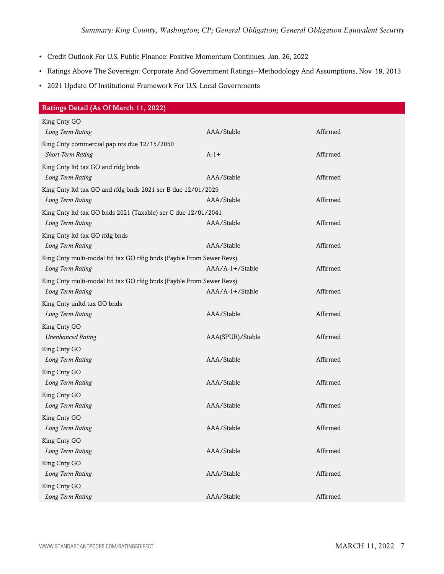- Credit Outlook For U.S. Public Finance: Positive Momentum Continues, Jan. 26, 2022
- Ratings Above The Sovereign: Corporate And Government Ratings--Methodology And Assumptions, Nov. 19, 2013
- 2021 Update Of Institutional Framework For U.S. Local Governments

| Ratings Detail (As Of March 11, 2022)                               |                  |          |
|---------------------------------------------------------------------|------------------|----------|
| King Cnty GO                                                        |                  |          |
| Long Term Rating                                                    | AAA/Stable       | Affirmed |
| King Cnty commercial pap nts due 12/15/2050                         |                  |          |
| <b>Short Term Rating</b>                                            | $A-1+$           | Affirmed |
| King Cnty ltd tax GO and rfdg bnds                                  |                  |          |
| Long Term Rating                                                    | AAA/Stable       | Affirmed |
| King Cnty ltd tax GO and rfdg bnds 2021 ser B due 12/01/2029        |                  |          |
| Long Term Rating                                                    | AAA/Stable       | Affirmed |
| King Cnty ltd tax GO bnds 2021 (Taxable) ser C due 12/01/2041       |                  |          |
| Long Term Rating                                                    | AAA/Stable       | Affirmed |
| King Cnty ltd tax GO rfdg bnds                                      |                  |          |
| Long Term Rating                                                    | AAA/Stable       | Affirmed |
| King Cnty multi-modal ltd tax GO rfdg bnds (Payble From Sewer Revs) |                  |          |
| Long Term Rating                                                    | AAA/A-1+/Stable  | Affirmed |
| King Cnty multi-modal ltd tax GO rfdg bnds (Payble From Sewer Revs) |                  |          |
| Long Term Rating                                                    | AAA/A-1+/Stable  | Affirmed |
| King Cnty unltd tax GO bnds                                         |                  |          |
| Long Term Rating                                                    | AAA/Stable       | Affirmed |
| King Cnty GO                                                        |                  |          |
| <b>Unenhanced Rating</b>                                            | AAA(SPUR)/Stable | Affirmed |
| King Cnty GO                                                        |                  |          |
| Long Term Rating                                                    | AAA/Stable       | Affirmed |
| King Cnty GO                                                        |                  |          |
| Long Term Rating                                                    | AAA/Stable       | Affirmed |
| King Cnty GO                                                        |                  |          |
| Long Term Rating                                                    | AAA/Stable       | Affirmed |
| King Cnty GO                                                        |                  |          |
| Long Term Rating                                                    | AAA/Stable       | Affirmed |
| King Cnty GO                                                        |                  |          |
| Long Term Rating                                                    | AAA/Stable       | Affirmed |
| King Cnty GO                                                        |                  |          |
| Long Term Rating                                                    | AAA/Stable       | Affirmed |
| King Cnty GO                                                        |                  |          |
| Long Term Rating                                                    | AAA/Stable       | Affirmed |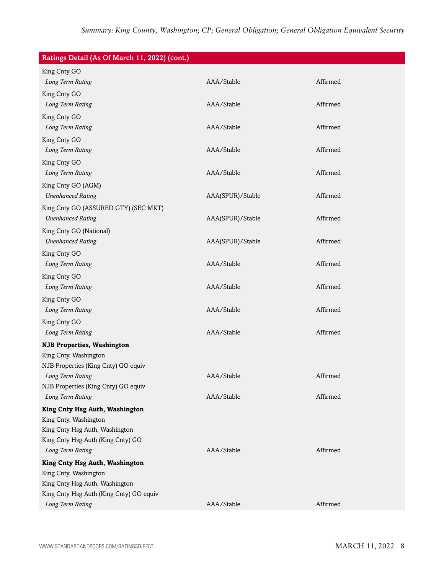| Ratings Detail (As Of March 11, 2022) (cont.)           |                  |          |
|---------------------------------------------------------|------------------|----------|
| King Cnty GO                                            |                  |          |
| Long Term Rating                                        | AAA/Stable       | Affirmed |
| King Cnty GO                                            |                  |          |
| Long Term Rating                                        | AAA/Stable       | Affirmed |
| King Cnty GO                                            |                  |          |
| Long Term Rating                                        | AAA/Stable       | Affirmed |
| King Cnty GO                                            |                  |          |
| Long Term Rating                                        | AAA/Stable       | Affirmed |
| King Cnty GO                                            |                  |          |
| Long Term Rating                                        | AAA/Stable       | Affirmed |
| King Cnty GO (AGM)                                      |                  |          |
| <b>Unenhanced Rating</b>                                | AAA(SPUR)/Stable | Affirmed |
| King Cnty GO (ASSURED GTY) (SEC MKT)                    |                  |          |
| <b>Unenhanced Rating</b>                                | AAA(SPUR)/Stable | Affirmed |
| King Cnty GO (National)                                 |                  |          |
| <b>Unenhanced Rating</b>                                | AAA(SPUR)/Stable | Affirmed |
| King Cnty GO                                            |                  |          |
| Long Term Rating                                        | AAA/Stable       | Affirmed |
| King Cnty GO                                            |                  |          |
| Long Term Rating                                        | AAA/Stable       | Affirmed |
| King Cnty GO                                            |                  |          |
| Long Term Rating                                        | AAA/Stable       | Affirmed |
| King Cnty GO                                            |                  |          |
| Long Term Rating                                        | AAA/Stable       | Affirmed |
| <b>NJB Properties, Washington</b>                       |                  |          |
| King Cnty, Washington                                   |                  |          |
| NJB Properties (King Cnty) GO equiv                     |                  |          |
| Long Term Rating                                        | AAA/Stable       | Affirmed |
| NJB Properties (King Cnty) GO equiv<br>Long Term Rating | AAA/Stable       | Affirmed |
|                                                         |                  |          |
| King Cnty Hsg Auth, Washington                          |                  |          |
| King Cnty, Washington<br>King Cnty Hsg Auth, Washington |                  |          |
| King Cnty Hsg Auth (King Cnty) GO                       |                  |          |
| Long Term Rating                                        | AAA/Stable       | Affirmed |
| King Cnty Hsg Auth, Washington                          |                  |          |
| King Cnty, Washington                                   |                  |          |
| King Cnty Hsg Auth, Washington                          |                  |          |
| King Cnty Hsg Auth (King Cnty) GO equiv                 |                  |          |
| Long Term Rating                                        | AAA/Stable       | Affirmed |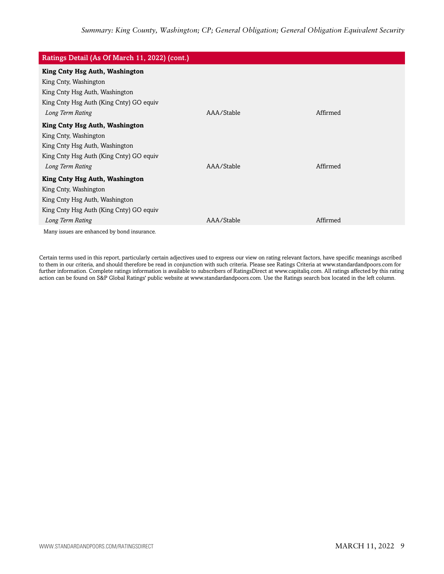| Ratings Detail (As Of March 11, 2022) (cont.) |            |          |
|-----------------------------------------------|------------|----------|
| King Cnty Hsg Auth, Washington                |            |          |
| King Cnty, Washington                         |            |          |
| King Cnty Hsg Auth, Washington                |            |          |
| King Cnty Hsg Auth (King Cnty) GO equiv       |            |          |
| Long Term Rating                              | AAA/Stable | Affirmed |
| King Cnty Hsg Auth, Washington                |            |          |
| King Cnty, Washington                         |            |          |
| King Cnty Hsg Auth, Washington                |            |          |
| King Cnty Hsg Auth (King Cnty) GO equiv       |            |          |
| Long Term Rating                              | AAA/Stable | Affirmed |
| King Cnty Hsg Auth, Washington                |            |          |
| King Cnty, Washington                         |            |          |
| King Cnty Hsg Auth, Washington                |            |          |
| King Cnty Hsg Auth (King Cnty) GO equiv       |            |          |
| Long Term Rating                              | AAA/Stable | Affirmed |
| Many issues are enhanced by bond insurance.   |            |          |

Certain terms used in this report, particularly certain adjectives used to express our view on rating relevant factors, have specific meanings ascribed to them in our criteria, and should therefore be read in conjunction with such criteria. Please see Ratings Criteria at www.standardandpoors.com for further information. Complete ratings information is available to subscribers of RatingsDirect at www.capitaliq.com. All ratings affected by this rating action can be found on S&P Global Ratings' public website at www.standardandpoors.com. Use the Ratings search box located in the left column.